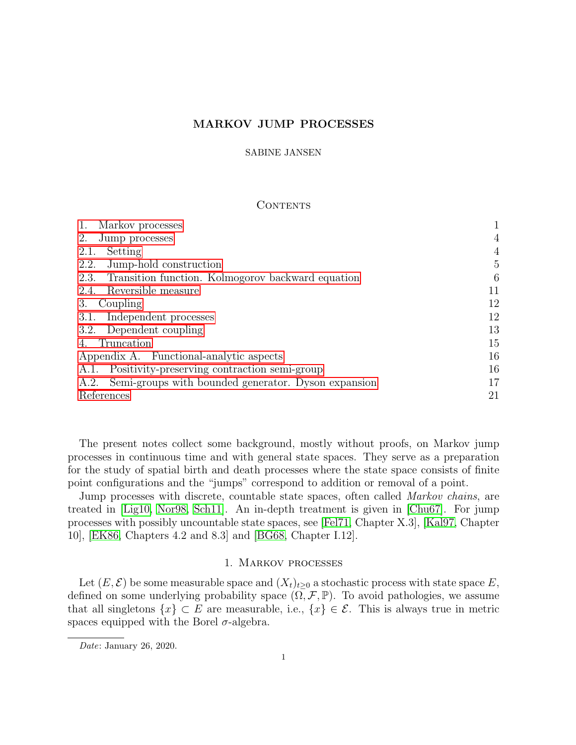# MARKOV JUMP PROCESSES

#### SABINE JANSEN

### **CONTENTS**

| Markov processes                                          |                |
|-----------------------------------------------------------|----------------|
| 2.<br>Jump processes                                      | $\overline{4}$ |
| Setting<br>2.1.                                           | $\overline{4}$ |
| Jump-hold construction<br>2.2.                            | 5              |
| Transition function. Kolmogorov backward equation<br>2.3. | 6              |
| Reversible measure<br>2.4.                                | 11             |
| Coupling<br>3.                                            | 12             |
| Independent processes<br>3.1.                             | 12             |
| 3.2. Dependent coupling                                   | 13             |
| Truncation                                                | 15             |
| Appendix A. Functional-analytic aspects                   | 16             |
| Positivity-preserving contraction semi-group<br>A.1.      | 16             |
| A.2. Semi-groups with bounded generator. Dyson expansion  | 17             |
| References                                                | 21             |
|                                                           |                |

The present notes collect some background, mostly without proofs, on Markov jump processes in continuous time and with general state spaces. They serve as a preparation for the study of spatial birth and death processes where the state space consists of finite point configurations and the "jumps" correspond to addition or removal of a point.

Jump processes with discrete, countable state spaces, often called *Markov chains*, are treated in [\[Lig10,](#page-20-1) [Nor98,](#page-20-2) [Sch11\]](#page-20-3). An in-depth treatment is given in [\[Chu67\]](#page-20-4). For jump processes with possibly uncountable state spaces, see [\[Fel71,](#page-20-5) Chapter X.3], [\[Kal97,](#page-20-6) Chapter 10], [\[EK86,](#page-20-7) Chapters 4.2 and 8.3] and [\[BG68,](#page-20-8) Chapter I.12].

# 1. Markov processes

<span id="page-0-0"></span>Let  $(E, \mathcal{E})$  be some measurable space and  $(X_t)_{t\geq0}$  a stochastic process with state space E, defined on some underlying probability space  $(\Omega, \mathcal{F}, \mathbb{P})$ . To avoid pathologies, we assume that all singletons  $\{x\} \subset E$  are measurable, i.e.,  $\{x\} \in \mathcal{E}$ . This is always true in metric spaces equipped with the Borel  $\sigma$ -algebra.

Date: January 26, 2020.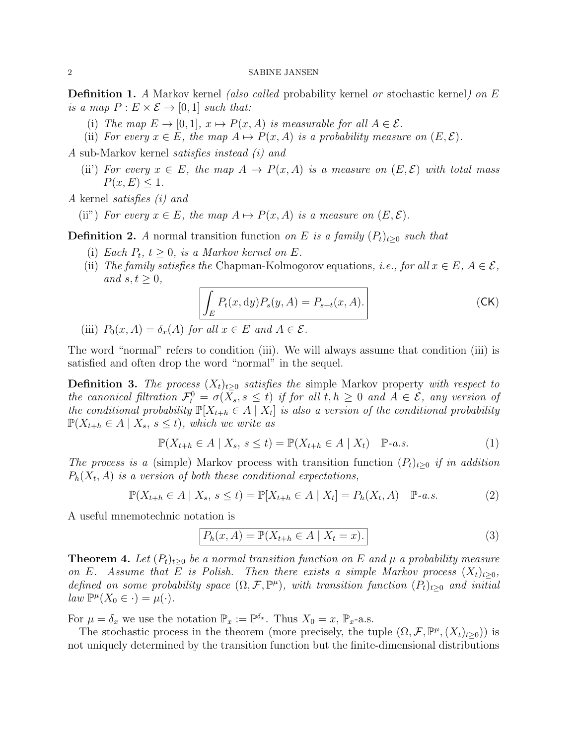**Definition 1.** A Markov kernel *(also called probability kernel or stochastic kernel) on E* is a map  $P: E \times \mathcal{E} \rightarrow [0,1]$  such that:

- (i) The map  $E \to [0, 1], x \mapsto P(x, A)$  is measurable for all  $A \in \mathcal{E}$ .
- (ii) For every  $x \in E$ , the map  $A \mapsto P(x, A)$  is a probability measure on  $(E, \mathcal{E})$ .

A sub-Markov kernel satisfies instead (i) and

(ii) For every  $x \in E$ , the map  $A \mapsto P(x, A)$  is a measure on  $(E, \mathcal{E})$  with total mass  $P(x, E) \leq 1.$ 

A kernel satisfies (i) and

(ii") For every  $x \in E$ , the map  $A \mapsto P(x, A)$  is a measure on  $(E, \mathcal{E})$ .

**Definition 2.** A normal transition function on E is a family  $(P_t)_{t\geq0}$  such that

- (i) Each  $P_t$ ,  $t \geq 0$ , is a Markov kernel on E.
- (ii) The family satisfies the Chapman-Kolmogorov equations, i.e., for all  $x \in E$ ,  $A \in \mathcal{E}$ , and  $s, t \geq 0$ ,

$$
\int_{E} P_t(x, dy) P_s(y, A) = P_{s+t}(x, A).
$$
 (CK)

(iii)  $P_0(x, A) = \delta_x(A)$  for all  $x \in E$  and  $A \in \mathcal{E}$ .

The word "normal" refers to condition (iii). We will always assume that condition (iii) is satisfied and often drop the word "normal" in the sequel.

**Definition 3.** The process  $(X_t)_{t\geq 0}$  satisfies the simple Markov property with respect to the canonical filtration  $\mathcal{F}_t^0 = \sigma(X_s, s \leq t)$  if for all  $t, h \geq 0$  and  $A \in \mathcal{E}$ , any version of the conditional probability  $\mathbb{P}[X_{t+h} \in A | X_t]$  is also a version of the conditional probability  $\mathbb{P}(X_{t+h} \in A \mid X_s, s \leq t)$ , which we write as

$$
\mathbb{P}(X_{t+h} \in A \mid X_s, s \le t) = \mathbb{P}(X_{t+h} \in A \mid X_t) \quad \mathbb{P}\text{-}a.s.
$$
\n<sup>(1)</sup>

The process is a (simple) Markov process with transition function  $(P_t)_{t>0}$  if in addition  $P_h(X_t, A)$  is a version of both these conditional expectations,

$$
\mathbb{P}(X_{t+h} \in A \mid X_s, s \le t) = \mathbb{P}[X_{t+h} \in A \mid X_t] = P_h(X_t, A) \quad \mathbb{P}\text{-}a.s.
$$
 (2)

A useful mnemotechnic notation is

$$
P_h(x, A) = \mathbb{P}(X_{t+h} \in A \mid X_t = x). \tag{3}
$$

**Theorem 4.** Let  $(P_t)_{t>0}$  be a normal transition function on E and  $\mu$  a probability measure on E. Assume that E is Polish. Then there exists a simple Markov process  $(X_t)_{t>0}$ , defined on some probability space  $(\Omega, \mathcal{F}, \mathbb{P}^{\mu})$ , with transition function  $(P_t)_{t\geq 0}$  and initial  $\lim_{\alpha \to 0} \mathbb{P}^{\mu}(X_0 \in \cdot) = \mu(\cdot).$ 

For  $\mu = \delta_x$  we use the notation  $\mathbb{P}_x := \mathbb{P}^{\delta_x}$ . Thus  $X_0 = x$ ,  $\mathbb{P}_x$ -a.s.

The stochastic process in the theorem (more precisely, the tuple  $(\Omega, \mathcal{F}, \mathbb{P}^{\mu}, (X_t)_{t\geq 0})$ ) is not uniquely determined by the transition function but the finite-dimensional distributions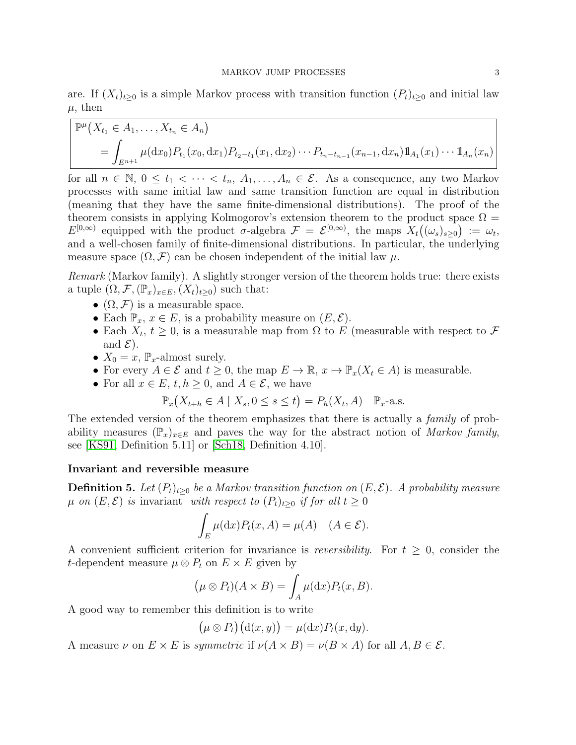are. If  $(X_t)_{t\geq0}$  is a simple Markov process with transition function  $(P_t)_{t\geq0}$  and initial law  $\mu$ , then

$$
\mathbb{P}^{\mu}(X_{t_1} \in A_1, ..., X_{t_n} \in A_n)
$$
  
=  $\int_{E^{n+1}} \mu(\mathrm{d}x_0) P_{t_1}(x_0, \mathrm{d}x_1) P_{t_2-t_1}(x_1, \mathrm{d}x_2) \cdots P_{t_{n-t_{n-1}}}(x_{n-1}, \mathrm{d}x_n) \mathbb{1}_{A_1}(x_1) \cdots \mathbb{1}_{A_n}(x_n)$ 

for all  $n \in \mathbb{N}, 0 \le t_1 < \cdots < t_n, A_1, \ldots, A_n \in \mathcal{E}$ . As a consequence, any two Markov processes with same initial law and same transition function are equal in distribution (meaning that they have the same finite-dimensional distributions). The proof of the theorem consists in applying Kolmogorov's extension theorem to the product space  $\Omega =$  $E^{[0,\infty)}$  equipped with the product  $\sigma$ -algebra  $\mathcal{F} = \mathcal{E}^{[0,\infty)}$ , the maps  $X_t((\omega_s)_{s\geq 0}) := \omega_t$ , and a well-chosen family of finite-dimensional distributions. In particular, the underlying measure space  $(\Omega, \mathcal{F})$  can be chosen independent of the initial law  $\mu$ .

Remark (Markov family). A slightly stronger version of the theorem holds true: there exists a tuple  $(\Omega, \mathcal{F}, (\mathbb{P}_x)_{x \in E}, (X_t)_{t \geq 0})$  such that:

- $(\Omega, \mathcal{F})$  is a measurable space.
- Each  $\mathbb{P}_x, x \in E$ , is a probability measure on  $(E, \mathcal{E})$ .
- Each  $X_t$ ,  $t \geq 0$ , is a measurable map from  $\Omega$  to E (measurable with respect to F and  $\mathcal{E}$ ).
- $X_0 = x$ ,  $\mathbb{P}_x$ -almost surely.
- For every  $A \in \mathcal{E}$  and  $t \geq 0$ , the map  $E \to \mathbb{R}$ ,  $x \mapsto \mathbb{P}_x(X_t \in A)$  is measurable.
- For all  $x \in E$ ,  $t, h \geq 0$ , and  $A \in \mathcal{E}$ , we have

$$
\mathbb{P}_x\big(X_{t+h}\in A\mid X_s, 0\leq s\leq t\big)=P_h(X_t, A)\quad \mathbb{P}_x\text{-a.s.}
$$

The extended version of the theorem emphasizes that there is actually a *family* of probability measures  $(\mathbb{P}_x)_{x\in E}$  and paves the way for the abstract notion of Markov family, see [\[KS91,](#page-20-9) Definition 5.11] or [\[Sch18,](#page-20-10) Definition 4.10].

# Invariant and reversible measure

**Definition 5.** Let  $(P_t)_{t>0}$  be a Markov transition function on  $(E, \mathcal{E})$ . A probability measure  $\mu$  on  $(E, \mathcal{E})$  is invariant with respect to  $(P_t)_{t>0}$  if for all  $t \geq 0$ 

$$
\int_{E} \mu(\mathrm{d}x) P_t(x, A) = \mu(A) \quad (A \in \mathcal{E}).
$$

A convenient sufficient criterion for invariance is *reversibility*. For  $t \geq 0$ , consider the t-dependent measure  $\mu \otimes P_t$  on  $E \times E$  given by

$$
(\mu \otimes P_t)(A \times B) = \int_A \mu(\mathrm{d}x) P_t(x, B).
$$

A good way to remember this definition is to write

$$
(\mu \otimes P_t)(d(x, y)) = \mu(dx)P_t(x, dy).
$$

A measure  $\nu$  on  $E \times E$  is *symmetric* if  $\nu(A \times B) = \nu(B \times A)$  for all  $A, B \in \mathcal{E}$ .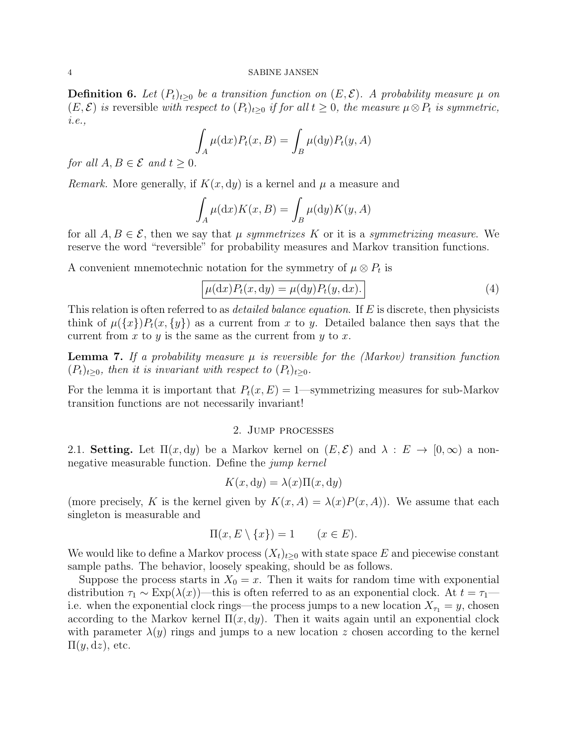#### 4 SABINE JANSEN

**Definition 6.** Let  $(P_t)_{t>0}$  be a transition function on  $(E, \mathcal{E})$ . A probability measure  $\mu$  on  $(E, \mathcal{E})$  is reversible with respect to  $(P_t)_{t>0}$  if for all  $t \geq 0$ , the measure  $\mu \otimes P_t$  is symmetric, i.e.,

$$
\int_A \mu(\mathrm{d}x) P_t(x, B) = \int_B \mu(\mathrm{d}y) P_t(y, A)
$$

for all  $A, B \in \mathcal{E}$  and  $t > 0$ .

*Remark.* More generally, if  $K(x, dy)$  is a kernel and  $\mu$  a measure and

$$
\int_A \mu(\mathrm{d}x) K(x, B) = \int_B \mu(\mathrm{d}y) K(y, A)
$$

for all  $A, B \in \mathcal{E}$ , then we say that  $\mu$  symmetrizes K or it is a symmetrizing measure. We reserve the word "reversible" for probability measures and Markov transition functions.

A convenient mnemotechnic notation for the symmetry of  $\mu \otimes P_t$  is

$$
\mu(\mathrm{d}x)P_t(x,\mathrm{d}y) = \mu(\mathrm{d}y)P_t(y,\mathrm{d}x). \tag{4}
$$

This relation is often referred to as *detailed balance equation*. If E is discrete, then physicists think of  $\mu({x})P_t(x, {y})$  as a current from x to y. Detailed balance then says that the current from  $x$  to  $y$  is the same as the current from  $y$  to  $x$ .

**Lemma 7.** If a probability measure  $\mu$  is reversible for the (Markov) transition function  $(P_t)_{t\geq0}$ , then it is invariant with respect to  $(P_t)_{t\geq0}$ .

For the lemma it is important that  $P_t(x, E) = 1$ —symmetrizing measures for sub-Markov transition functions are not necessarily invariant!

### 2. Jump processes

<span id="page-3-1"></span><span id="page-3-0"></span>2.1. Setting. Let  $\Pi(x, dy)$  be a Markov kernel on  $(E, \mathcal{E})$  and  $\lambda : E \to [0, \infty)$  a nonnegative measurable function. Define the jump kernel

$$
K(x, dy) = \lambda(x)\Pi(x, dy)
$$

(more precisely, K is the kernel given by  $K(x, A) = \lambda(x)P(x, A)$ ). We assume that each singleton is measurable and

$$
\Pi(x, E \setminus \{x\}) = 1 \qquad (x \in E).
$$

We would like to define a Markov process  $(X_t)_{t>0}$  with state space E and piecewise constant sample paths. The behavior, loosely speaking, should be as follows.

Suppose the process starts in  $X_0 = x$ . Then it waits for random time with exponential distribution  $\tau_1 \sim \text{Exp}(\lambda(x))$ —this is often referred to as an exponential clock. At  $t = \tau_1$  i.e. when the exponential clock rings—the process jumps to a new location  $X_{\tau_1} = y$ , chosen according to the Markov kernel  $\Pi(x, dy)$ . Then it waits again until an exponential clock with parameter  $\lambda(y)$  rings and jumps to a new location z chosen according to the kernel  $\Pi(y, dz)$ , etc.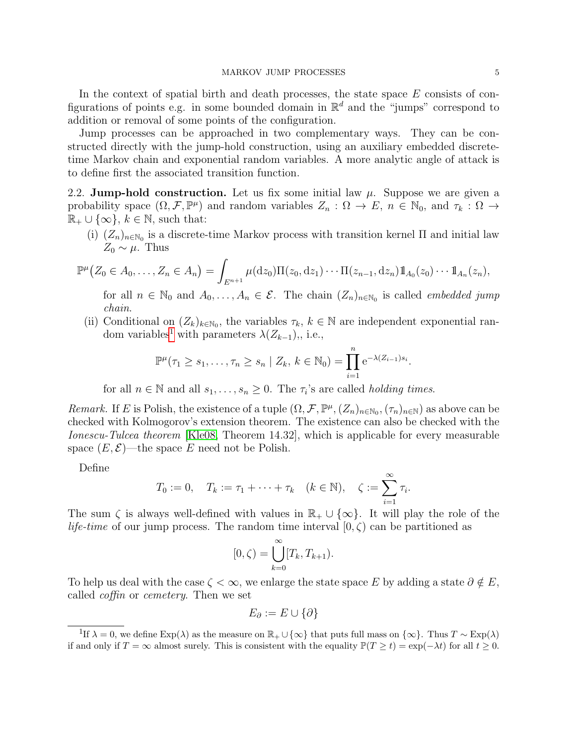In the context of spatial birth and death processes, the state space  $E$  consists of configurations of points e.g. in some bounded domain in  $\mathbb{R}^d$  and the "jumps" correspond to addition or removal of some points of the configuration.

Jump processes can be approached in two complementary ways. They can be constructed directly with the jump-hold construction, using an auxiliary embedded discretetime Markov chain and exponential random variables. A more analytic angle of attack is to define first the associated transition function.

<span id="page-4-0"></span>2.2. Jump-hold construction. Let us fix some initial law  $\mu$ . Suppose we are given a probability space  $(\Omega, \mathcal{F}, \mathbb{P}^{\mu})$  and random variables  $Z_n : \Omega \to E$ ,  $n \in \mathbb{N}_0$ , and  $\tau_k : \Omega \to$  $\mathbb{R}_+ \cup \{\infty\}, k \in \mathbb{N}$ , such that:

(i)  $(Z_n)_{n\in\mathbb{N}_0}$  is a discrete-time Markov process with transition kernel  $\Pi$  and initial law  $Z_0 \sim \mu$ . Thus

$$
\mathbb{P}^{\mu}\big(Z_0 \in A_0, \ldots, Z_n \in A_n\big) = \int_{E^{n+1}} \mu(\mathrm{d} z_0) \Pi(z_0, \mathrm{d} z_1) \cdots \Pi(z_{n-1}, \mathrm{d} z_n) \mathbb{1}_{A_0}(z_0) \cdots \mathbb{1}_{A_n}(z_n),
$$

for all  $n \in \mathbb{N}_0$  and  $A_0, \ldots, A_n \in \mathcal{E}$ . The chain  $(Z_n)_{n \in \mathbb{N}_0}$  is called *embedded jump* chain.

(ii) Conditional on  $(Z_k)_{k \in \mathbb{N}_0}$ , the variables  $\tau_k, k \in \mathbb{N}$  are independent exponential ran-dom variables<sup>[1](#page-4-1)</sup> with parameters  $\lambda(Z_{k-1}),$ , i.e.,

$$
\mathbb{P}^{\mu}(\tau_1 \geq s_1, \ldots, \tau_n \geq s_n \mid Z_k, k \in \mathbb{N}_0) = \prod_{i=1}^n e^{-\lambda(Z_{i-1})s_i}.
$$

for all  $n \in \mathbb{N}$  and all  $s_1, \ldots, s_n \geq 0$ . The  $\tau_i$ 's are called *holding times*.

Remark. If E is Polish, the existence of a tuple  $(\Omega, \mathcal{F}, \mathbb{P}^{\mu}, (Z_n)_{n \in \mathbb{N}_0}, (\tau_n)_{n \in \mathbb{N}})$  as above can be checked with Kolmogorov's extension theorem. The existence can also be checked with the Ionescu-Tulcea theorem [\[Kle08,](#page-20-11) Theorem 14.32], which is applicable for every measurable space  $(E, \mathcal{E})$ —the space E need not be Polish.

Define

$$
T_0 := 0
$$
,  $T_k := \tau_1 + \cdots + \tau_k$   $(k \in \mathbb{N})$ ,  $\zeta := \sum_{i=1}^{\infty} \tau_i$ .

The sum  $\zeta$  is always well-defined with values in  $\mathbb{R}_+ \cup \{\infty\}$ . It will play the role of the *life-time* of our jump process. The random time interval  $[0, \zeta)$  can be partitioned as

$$
[0, \zeta) = \bigcup_{k=0}^{\infty} [T_k, T_{k+1}).
$$

To help us deal with the case  $\zeta < \infty$ , we enlarge the state space E by adding a state  $\partial \notin E$ , called coffin or cemetery. Then we set

$$
E_{\partial} := E \cup \{ \partial \}
$$

<span id="page-4-1"></span><sup>&</sup>lt;sup>1</sup>If  $\lambda = 0$ , we define Exp( $\lambda$ ) as the measure on  $\mathbb{R}_+ \cup {\infty}$  that puts full mass on  ${\infty}$ . Thus  $T \sim \text{Exp}(\lambda)$ if and only if  $T = \infty$  almost surely. This is consistent with the equality  $\mathbb{P}(T \ge t) = \exp(-\lambda t)$  for all  $t \ge 0$ .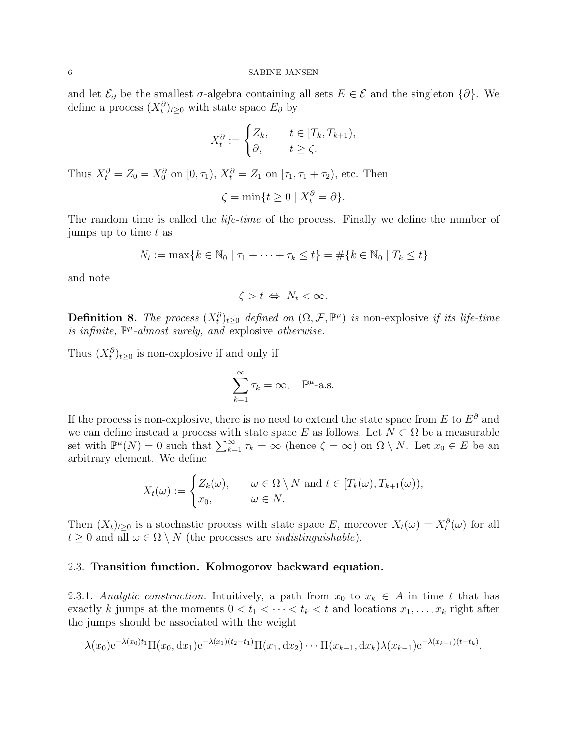and let  $\mathcal{E}_{\partial}$  be the smallest  $\sigma$ -algebra containing all sets  $E \in \mathcal{E}$  and the singleton  $\{\partial\}$ . We define a process  $(X_t^{\partial})_{t\geq0}$  with state space  $E_{\partial}$  by

$$
X_t^{\partial} := \begin{cases} Z_k, & t \in [T_k, T_{k+1}), \\ \partial, & t \ge \zeta. \end{cases}
$$

Thus  $X_t^{\partial} = Z_0 = X_0^{\partial}$  on  $[0, \tau_1)$ ,  $X_t^{\partial} = Z_1$  on  $[\tau_1, \tau_1 + \tau_2)$ , etc. Then

$$
\zeta = \min\{t \ge 0 \mid X_t^{\partial} = \partial\}.
$$

The random time is called the *life-time* of the process. Finally we define the number of jumps up to time  $t$  as

$$
N_t := \max\{k \in \mathbb{N}_0 \mid \tau_1 + \dots + \tau_k \le t\} = \#\{k \in \mathbb{N}_0 \mid T_k \le t\}
$$

and note

$$
\zeta > t \Leftrightarrow N_t < \infty.
$$

**Definition 8.** The process  $(X_t^{\partial})_{t\geq0}$  defined on  $(\Omega, \mathcal{F}, \mathbb{P}^{\mu})$  is non-explosive if its life-time is infinite,  $\mathbb{P}^{\mu}$ -almost surely, and explosive otherwise.

Thus  $(X_t^{\partial})_{t\geq 0}$  is non-explosive if and only if

$$
\sum_{k=1}^{\infty} \tau_k = \infty, \quad \mathbb{P}^{\mu} \text{-a.s.}
$$

If the process is non-explosive, there is no need to extend the state space from E to  $E^{\partial}$  and we can define instead a process with state space E as follows. Let  $N \subset \Omega$  be a measurable set with  $\mathbb{P}^{\mu}(N) = 0$  such that  $\sum_{k=1}^{\infty} \tau_k = \infty$  (hence  $\zeta = \infty$ ) on  $\Omega \setminus N$ . Let  $x_0 \in E$  be an arbitrary element. We define

$$
X_t(\omega) := \begin{cases} Z_k(\omega), & \omega \in \Omega \setminus N \text{ and } t \in [T_k(\omega), T_{k+1}(\omega)), \\ x_0, & \omega \in N. \end{cases}
$$

Then  $(X_t)_{t\geq 0}$  is a stochastic process with state space E, moreover  $X_t(\omega) = X_t^{\partial}(\omega)$  for all  $t \geq 0$  and all  $\omega \in \Omega \setminus N$  (the processes are *indistinguishable*).

### <span id="page-5-0"></span>2.3. Transition function. Kolmogorov backward equation.

<span id="page-5-1"></span>2.3.1. Analytic construction. Intuitively, a path from  $x_0$  to  $x_k \in A$  in time t that has exactly k jumps at the moments  $0 < t_1 < \cdots < t_k < t$  and locations  $x_1, \ldots, x_k$  right after the jumps should be associated with the weight

$$
\lambda(x_0) e^{-\lambda(x_0)t_1} \Pi(x_0, dx_1) e^{-\lambda(x_1)(t_2 - t_1)} \Pi(x_1, dx_2) \cdots \Pi(x_{k-1}, dx_k) \lambda(x_{k-1}) e^{-\lambda(x_{k-1})(t - t_k)}.
$$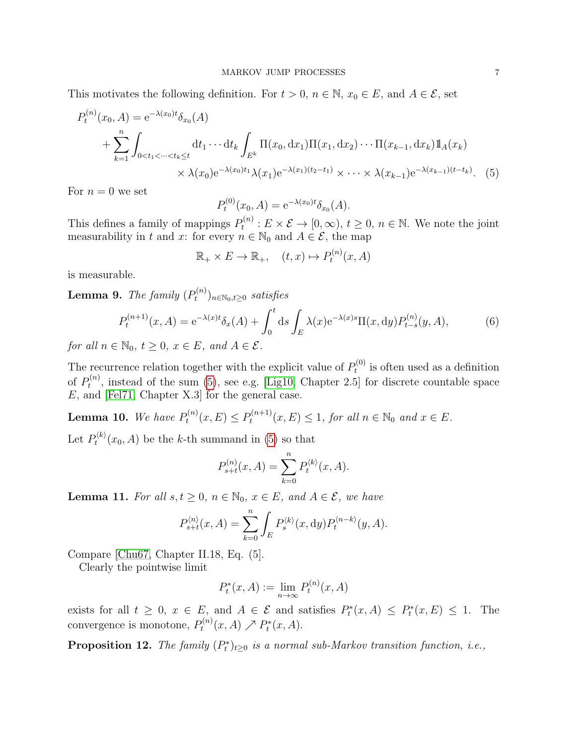This motivates the following definition. For  $t > 0$ ,  $n \in \mathbb{N}$ ,  $x_0 \in E$ , and  $A \in \mathcal{E}$ , set

$$
P_t^{(n)}(x_0, A) = e^{-\lambda(x_0)t} \delta_{x_0}(A)
$$
  
+ 
$$
\sum_{k=1}^n \int_{0 < t_1 < \dots < t_k \le t} dt_1 \cdots dt_k \int_{E^k} \Pi(x_0, dx_1) \Pi(x_1, dx_2) \cdots \Pi(x_{k-1}, dx_k) \Pi_A(x_k)
$$
  
 
$$
\times \lambda(x_0) e^{-\lambda(x_0)t_1} \lambda(x_1) e^{-\lambda(x_1)(t_2 - t_1)} \times \dots \times \lambda(x_{k-1}) e^{-\lambda(x_{k-1})(t - t_k)}.
$$
 (5)

For  $n = 0$  we set

<span id="page-6-1"></span><span id="page-6-0"></span>
$$
P_t^{(0)}(x_0, A) = e^{-\lambda(x_0)t} \delta_{x_0}(A).
$$

This defines a family of mappings  $P_t^{(n)}$  $t_t^{(n)}: E \times \mathcal{E} \to [0, \infty), t \geq 0, n \in \mathbb{N}$ . We note the joint measurability in t and x: for every  $n \in \mathbb{N}_0$  and  $A \in \mathcal{E}$ , the map

$$
\mathbb{R}_+ \times E \to \mathbb{R}_+, \quad (t, x) \mapsto P_t^{(n)}(x, A)
$$

is measurable.

<span id="page-6-2"></span>**Lemma 9.** The family  $(P_t^{(n)})$  $(t^{(n)})_{n\in\mathbb{N}_0,t\geq 0}$  satisfies

$$
P_t^{(n+1)}(x,A) = e^{-\lambda(x)t} \delta_x(A) + \int_0^t ds \int_E \lambda(x) e^{-\lambda(x)s} \Pi(x,dy) P_{t-s}^{(n)}(y,A), \tag{6}
$$

for all  $n \in \mathbb{N}_0$ ,  $t \geq 0$ ,  $x \in E$ , and  $A \in \mathcal{E}$ .

The recurrence relation together with the explicit value of  $P_t^{(0)}$  $t_t^{(0)}$  is often used as a definition of  $P_t^{(n)}$  $t^{(n)}$ , instead of the sum [\(5\)](#page-6-0), see e.g. [\[Lig10,](#page-20-1) Chapter 2.5] for discrete countable space E, and [\[Fel71,](#page-20-5) Chapter X.3] for the general case.

**Lemma 10.** We have  $P_t^{(n)}$  $P_t^{(n)}(x,E) \le P_t^{(n+1)}$  $t_t^{(n+1)}(x,E) \leq 1$ , for all  $n \in \mathbb{N}_0$  and  $x \in E$ .

Let  $P_t^{\langle k \rangle}$  $t^{(k)}(x_0, A)$  be the k-th summand in [\(5\)](#page-6-0) so that

$$
P_{s+t}^{(n)}(x, A) = \sum_{k=0}^{n} P_t^{\langle k \rangle}(x, A).
$$

**Lemma 11.** For all  $s, t \geq 0$ ,  $n \in \mathbb{N}_0$ ,  $x \in E$ , and  $A \in \mathcal{E}$ , we have

$$
P_{s+t}^{\langle n \rangle}(x,A) = \sum_{k=0}^{n} \int_{E} P_{s}^{\langle k \rangle}(x,\mathrm{d}y) P_{t}^{\langle n-k \rangle}(y,A).
$$

Compare [\[Chu67,](#page-20-4) Chapter II.18, Eq. (5].

Clearly the pointwise limit

$$
P_t^*(x, A) := \lim_{n \to \infty} P_t^{(n)}(x, A)
$$

exists for all  $t \geq 0$ ,  $x \in E$ , and  $A \in \mathcal{E}$  and satisfies  $P_t^*(x, A) \leq P_t^*(x, E) \leq 1$ . The convergence is monotone,  $P_t^{(n)}$  $P_t^{(n)}(x, A) \nearrow P_t^{*}(x, A).$ 

**Proposition 12.** The family  $(P_t^*)_{t\geq 0}$  is a normal sub-Markov transition function, i.e.,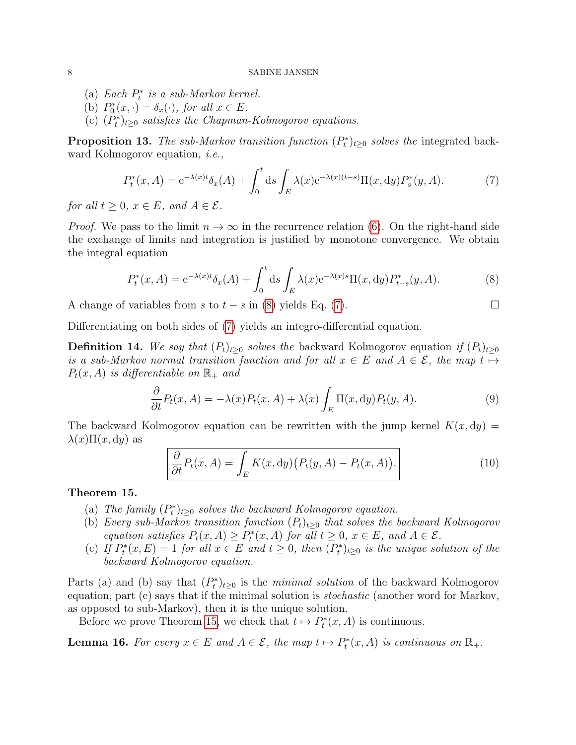- (a) Each  $P_t^*$  is a sub-Markov kernel.
- (b)  $P_0^*(x, \cdot) = \delta_x(\cdot)$ , for all  $x \in E$ .
- (c)  $(P_t^*)_{t\geq0}$  satisfies the Chapman-Kolmogorov equations.

<span id="page-7-4"></span>**Proposition 13.** The sub-Markov transition function  $(P_t^*)_{t\geq0}$  solves the integrated backward Kolmogorov equation, i.e.,

<span id="page-7-1"></span>
$$
P_t^*(x, A) = e^{-\lambda(x)t} \delta_x(A) + \int_0^t ds \int_E \lambda(x) e^{-\lambda(x)(t-s)} \Pi(x, dy) P_s^*(y, A). \tag{7}
$$

for all  $t \geq 0$ ,  $x \in E$ , and  $A \in \mathcal{E}$ .

*Proof.* We pass to the limit  $n \to \infty$  in the recurrence relation [\(6\)](#page-6-1). On the right-hand side the exchange of limits and integration is justified by monotone convergence. We obtain the integral equation

<span id="page-7-0"></span>
$$
P_t^*(x, A) = e^{-\lambda(x)t} \delta_x(A) + \int_0^t ds \int_E \lambda(x) e^{-\lambda(x)s} \Pi(x, dy) P_{t-s}^*(y, A).
$$
 (8)

A change of variables from s to  $t - s$  in [\(8\)](#page-7-0) yields Eq. [\(7\)](#page-7-1).

Differentiating on both sides of [\(7\)](#page-7-1) yields an integro-differential equation.

**Definition 14.** We say that  $(P_t)_{t\geq0}$  solves the backward Kolmogorov equation if  $(P_t)_{t\geq0}$ is a sub-Markov normal transition function and for all  $x \in E$  and  $A \in \mathcal{E}$ , the map  $t \mapsto$  $P_t(x, A)$  is differentiable on  $\mathbb{R}_+$  and

$$
\frac{\partial}{\partial t}P_t(x,A) = -\lambda(x)P_t(x,A) + \lambda(x)\int_E \Pi(x,\mathrm{d}y)P_t(y,A). \tag{9}
$$

The backward Kolmogorov equation can be rewritten with the jump kernel  $K(x, dy) =$  $\lambda(x)\Pi(x,dy)$  as

$$
\frac{\partial}{\partial t}P_t(x, A) = \int_E K(x, dy) (P_t(y, A) - P_t(x, A)). \tag{10}
$$

### <span id="page-7-2"></span>Theorem 15.

- (a) The family  $(P_t^*)_{t\geq0}$  solves the backward Kolmogorov equation.
- (b) Every sub-Markov transition function  $(P_t)_{t\geq0}$  that solves the backward Kolmogorov equation satisfies  $P_t(x, A) \ge P_t^*(x, A)$  for all  $t \ge 0$ ,  $x \in E$ , and  $A \in \mathcal{E}$ .
- (c) If  $P_t^*(x, E) = 1$  for all  $x \in E$  and  $t \ge 0$ , then  $(P_t^*)_{t \ge 0}$  is the unique solution of the backward Kolmogorov equation.

Parts (a) and (b) say that  $(P_t^*)_{t\geq 0}$  is the minimal solution of the backward Kolmogorov equation, part (c) says that if the minimal solution is stochastic (another word for Markov, as opposed to sub-Markov), then it is the unique solution.

Before we prove Theorem [15,](#page-7-2) we check that  $t \mapsto P_t^*(x, A)$  is continuous.

<span id="page-7-3"></span>**Lemma 16.** For every  $x \in E$  and  $A \in \mathcal{E}$ , the map  $t \mapsto P_t^*(x, A)$  is continuous on  $\mathbb{R}_+$ .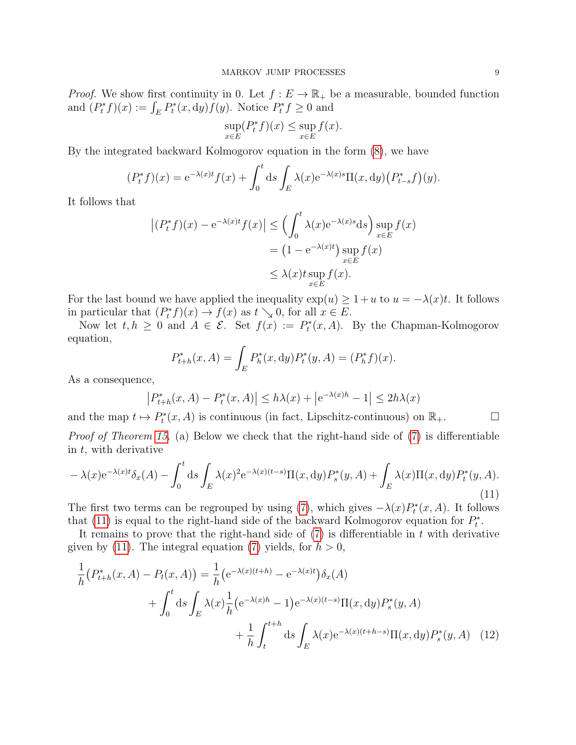*Proof.* We show first continuity in 0. Let  $f : E \to \mathbb{R}_+$  be a measurable, bounded function and  $(P_t^* f)(x) := \int_E P_t^*(x, dy) f(y)$ . Notice  $P_t^* f \ge 0$  and

$$
\sup_{x \in E} (P_t^* f)(x) \le \sup_{x \in E} f(x).
$$

By the integrated backward Kolmogorov equation in the form [\(8\)](#page-7-0), we have

$$
(P_t^* f)(x) = e^{-\lambda(x)t} f(x) + \int_0^t ds \int_E \lambda(x) e^{-\lambda(x)s} \Pi(x, dy) (P_{t-s}^* f)(y).
$$

It follows that

$$
\left| (P_t^* f)(x) - e^{-\lambda(x)t} f(x) \right| \le \left( \int_0^t \lambda(x) e^{-\lambda(x)s} ds \right) \sup_{x \in E} f(x)
$$
  
=  $(1 - e^{-\lambda(x)t}) \sup_{x \in E} f(x)$   
 $\le \lambda(x) t \sup_{x \in E} f(x).$ 

For the last bound we have applied the inequality  $\exp(u) \geq 1 + u$  to  $u = -\lambda(x)t$ . It follows in particular that  $(P_t^* f)(x) \to f(x)$  as  $t \searrow 0$ , for all  $x \in E$ .

Now let  $t, h \geq 0$  and  $A \in \mathcal{E}$ . Set  $f(x) := P_t^*(x, A)$ . By the Chapman-Kolmogorov equation,

$$
P_{t+h}^*(x, A) = \int_E P_h^*(x, dy) P_t^*(y, A) = (P_h^* f)(x).
$$

As a consequence,

<span id="page-8-1"></span>
$$
\left|P_{t+h}^*(x,A) - P_t^*(x,A)\right| \le h\lambda(x) + \left|e^{-\lambda(x)h} - 1\right| \le 2h\lambda(x)
$$

and the map  $t \mapsto P_t^*(x, A)$  is continuous (in fact, Lipschitz-continuous) on  $\mathbb{R}_+$ .

*Proof of Theorem [15.](#page-7-2)* (a) Below we check that the right-hand side of  $(7)$  is differentiable in  $t$ , with derivative

<span id="page-8-0"></span>
$$
-\lambda(x)e^{-\lambda(x)t}\delta_x(A) - \int_0^t ds \int_E \lambda(x)^2 e^{-\lambda(x)(t-s)}\Pi(x,dy)P_s^*(y,A) + \int_E \lambda(x)\Pi(x,dy)P_t^*(y,A). \tag{11}
$$

The first two terms can be regrouped by using [\(7\)](#page-7-1), which gives  $-\lambda(x)P_t^*(x, A)$ . It follows that [\(11\)](#page-8-0) is equal to the right-hand side of the backward Kolmogorov equation for  $P_t^*$ .

It remains to prove that the right-hand side of  $(7)$  is differentiable in t with derivative given by [\(11\)](#page-8-0). The integral equation [\(7\)](#page-7-1) yields, for  $h > 0$ ,

$$
\frac{1}{h} \left( P_{t+h}^*(x, A) - P_t(x, A) \right) = \frac{1}{h} \left( e^{-\lambda(x)(t+h)} - e^{-\lambda(x)t} \right) \delta_x(A)
$$
\n
$$
+ \int_0^t \mathrm{d}s \int_E \lambda(x) \frac{1}{h} \left( e^{-\lambda(x)h} - 1 \right) e^{-\lambda(x)(t-s)} \Pi(x, \mathrm{d}y) P_s^*(y, A)
$$
\n
$$
+ \frac{1}{h} \int_t^{t+h} \mathrm{d}s \int_E \lambda(x) e^{-\lambda(x)(t+h-s)} \Pi(x, \mathrm{d}y) P_s^*(y, A) \tag{12}
$$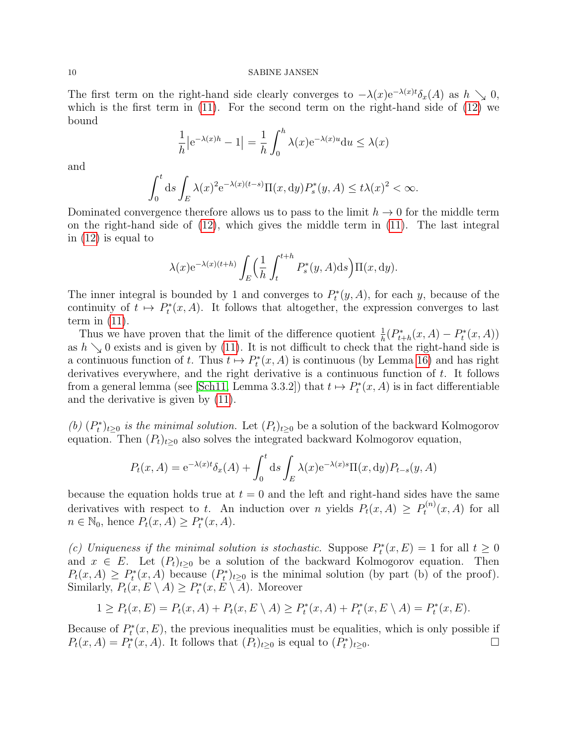#### 10 SABINE JANSEN

The first term on the right-hand side clearly converges to  $-\lambda(x)e^{-\lambda(x)t}\delta_x(A)$  as  $h \searrow 0$ , which is the first term in [\(11\)](#page-8-0). For the second term on the right-hand side of [\(12\)](#page-8-1) we bound

$$
\frac{1}{h} |e^{-\lambda(x)h} - 1| = \frac{1}{h} \int_0^h \lambda(x) e^{-\lambda(x)u} du \le \lambda(x)
$$

and

$$
\int_0^t ds \int_E \lambda(x)^2 e^{-\lambda(x)(t-s)} \Pi(x, dy) P_s^*(y, A) \le t\lambda(x)^2 < \infty.
$$

Dominated convergence therefore allows us to pass to the limit  $h \to 0$  for the middle term on the right-hand side of [\(12\)](#page-8-1), which gives the middle term in [\(11\)](#page-8-0). The last integral in [\(12\)](#page-8-1) is equal to

$$
\lambda(x)e^{-\lambda(x)(t+h)}\int_E \left(\frac{1}{h}\int_t^{t+h} P_s^*(y, A)ds\right) \Pi(x, dy).
$$

The inner integral is bounded by 1 and converges to  $P_t^*(y, A)$ , for each y, because of the continuity of  $t \mapsto P_t^*(x, A)$ . It follows that altogether, the expression converges to last term in  $(11)$ .

Thus we have proven that the limit of the difference quotient  $\frac{1}{h}(P_{t+h}^*(x, A) - P_t^*(x, A))$ as  $h \searrow 0$  exists and is given by [\(11\)](#page-8-0). It is not difficult to check that the right-hand side is a continuous function of t. Thus  $t \mapsto P_t^*(x, A)$  is continuous (by Lemma [16\)](#page-7-3) and has right derivatives everywhere, and the right derivative is a continuous function of  $t$ . It follows from a general lemma (see [\[Sch11,](#page-20-3) Lemma 3.3.2]) that  $t \mapsto P_t^*(x, A)$  is in fact differentiable and the derivative is given by [\(11\)](#page-8-0).

(b)  $(P_t^*)_{t\geq 0}$  is the minimal solution. Let  $(P_t)_{t\geq 0}$  be a solution of the backward Kolmogorov equation. Then  $(P_t)_{t\geq 0}$  also solves the integrated backward Kolmogorov equation,

$$
P_t(x, A) = e^{-\lambda(x)t} \delta_x(A) + \int_0^t ds \int_E \lambda(x) e^{-\lambda(x)s} \Pi(x, dy) P_{t-s}(y, A)
$$

because the equation holds true at  $t = 0$  and the left and right-hand sides have the same derivatives with respect to t. An induction over n yields  $P_t(x, A) \ge P_t^{(n)}$  $t^{(n)}(x, A)$  for all  $n \in \mathbb{N}_0$ , hence  $P_t(x, A) \ge P_t^*(x, A)$ .

(c) Uniqueness if the minimal solution is stochastic. Suppose  $P_t^*(x, E) = 1$  for all  $t \geq 0$ and  $x \in E$ . Let  $(P_t)_{t>0}$  be a solution of the backward Kolmogorov equation. Then  $P_t(x, A) \ge P_t^*(x, A)$  because  $(P_t^*)_{t \ge 0}$  is the minimal solution (by part (b) of the proof). Similarly,  $P_t(x, E \setminus A) \ge P_t^*(x, E \setminus A)$ . Moreover

$$
1 \ge P_t(x, E) = P_t(x, A) + P_t(x, E \setminus A) \ge P_t^*(x, A) + P_t^*(x, E \setminus A) = P_t^*(x, E).
$$

Because of  $P_t^*(x, E)$ , the previous inequalities must be equalities, which is only possible if  $P_t(x, A) = P_t^*(x, A)$ . It follows that  $(P_t)_{t\geq 0}$  is equal to  $(P_t^*)_{t\geq 0}$ .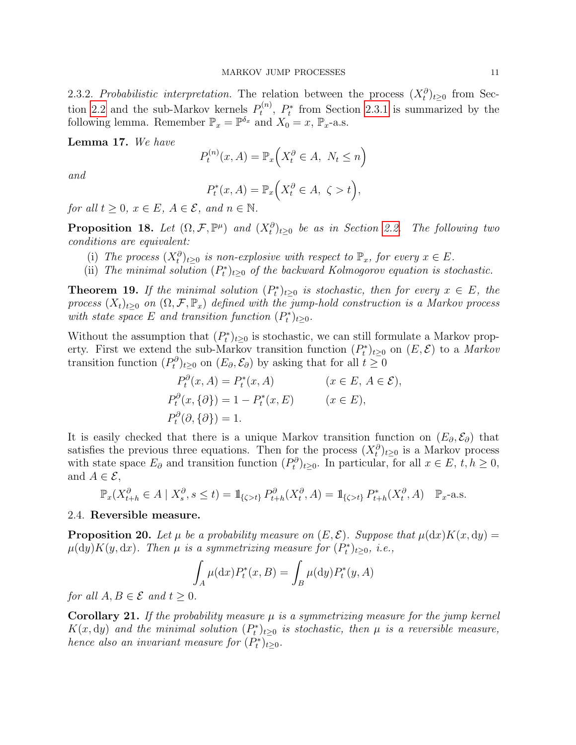2.3.2. Probabilistic interpretation. The relation between the process  $(X_t^{\partial})_{t\geq0}$  from Sec-tion [2.2](#page-4-0) and the sub-Markov kernels  $P_t^{(n)}$  $t_t^{(n)}$ ,  $P_t^*$  from Section [2.3.1](#page-5-1) is summarized by the following lemma. Remember  $\mathbb{P}_x = \mathbb{P}^{\delta_x}$  and  $X_0 = x$ ,  $\mathbb{P}_x$ -a.s.

Lemma 17. We have

$$
P_t^{(n)}(x, A) = \mathbb{P}_x\Big(X_t^{\partial} \in A, \ N_t \le n\Big)
$$

and

$$
P_t^*(x, A) = \mathbb{P}_x\Big(X_t^{\partial} \in A, \ \zeta > t\Big),
$$

for all  $t \geq 0$ ,  $x \in E$ ,  $A \in \mathcal{E}$ , and  $n \in \mathbb{N}$ .

**Proposition 18.** Let  $(\Omega, \mathcal{F}, \mathbb{P}^{\mu})$  and  $(X_t^{\partial})_{t \geq 0}$  be as in Section [2.2.](#page-4-0) The following two conditions are equivalent:

- (i) The process  $(X_t^{\partial})_{t\geq0}$  is non-explosive with respect to  $\mathbb{P}_x$ , for every  $x \in E$ .
- (ii) The minimal solution  $(P_t^*)_{t\geq 0}$  of the backward Kolmogorov equation is stochastic.

**Theorem 19.** If the minimal solution  $(P_t^*)_{t\geq 0}$  is stochastic, then for every  $x \in E$ , the process  $(X_t)_{t>0}$  on  $(\Omega, \mathcal{F}, \mathbb{P}_x)$  defined with the jump-hold construction is a Markov process with state space E and transition function  $(P_t^*)_{t\geq0}$ .

Without the assumption that  $(P_t^*)_{t\geq 0}$  is stochastic, we can still formulate a Markov property. First we extend the sub-Markov transition function  $(P_t^*)_{t\geq0}$  on  $(E,\mathcal{E})$  to a *Markov* transition function  $(P_t^{\partial})_{t\geq0}$  on  $(E_{\partial}, \mathcal{E}_{\partial})$  by asking that for all  $t \geq 0$ 

$$
P_t^{\partial}(x, A) = P_t^*(x, A) \qquad (x \in E, A \in \mathcal{E}),
$$
  
\n
$$
P_t^{\partial}(x, \{\partial\}) = 1 - P_t^*(x, E) \qquad (x \in E),
$$
  
\n
$$
P_t^{\partial}(\partial, \{\partial\}) = 1.
$$

It is easily checked that there is a unique Markov transition function on  $(E_{\partial}, \mathcal{E}_{\partial})$  that satisfies the previous three equations. Then for the process  $(X_t^{\partial})_{t\geq0}$  is a Markov process with state space  $E_{\partial}$  and transition function  $(P_t^{\partial})_{t\geq0}$ . In particular, for all  $x \in E$ ,  $t, h \geq 0$ , and  $A \in \mathcal{E}$ ,

$$
\mathbb{P}_x(X_{t+h}^{\partial} \in A \mid X_s^{\partial}, s \le t) = 1_{\{\zeta > t\}} P_{t+h}^{\partial}(X_t^{\partial}, A) = 1_{\{\zeta > t\}} P_{t+h}^*(X_t^{\partial}, A) \quad \mathbb{P}_x \text{-a.s.}
$$

### <span id="page-10-0"></span>2.4. Reversible measure.

**Proposition 20.** Let  $\mu$  be a probability measure on  $(E, \mathcal{E})$ . Suppose that  $\mu(dx)K(x, dy) =$  $\mu(dy)K(y, dx)$ . Then  $\mu$  is a symmetrizing measure for  $(P_t^*)_{t\geq0}$ , i.e.,

$$
\int_A \mu(\mathrm{d}x) P_t^*(x, B) = \int_B \mu(\mathrm{d}y) P_t^*(y, A)
$$

for all  $A, B \in \mathcal{E}$  and  $t \geq 0$ .

**Corollary 21.** If the probability measure  $\mu$  is a symmetrizing measure for the jump kernel  $K(x, dy)$  and the minimal solution  $(P_t^*)_{t\geq 0}$  is stochastic, then  $\mu$  is a reversible measure, hence also an invariant measure for  $(P_t^*)_{t\geq0}$ .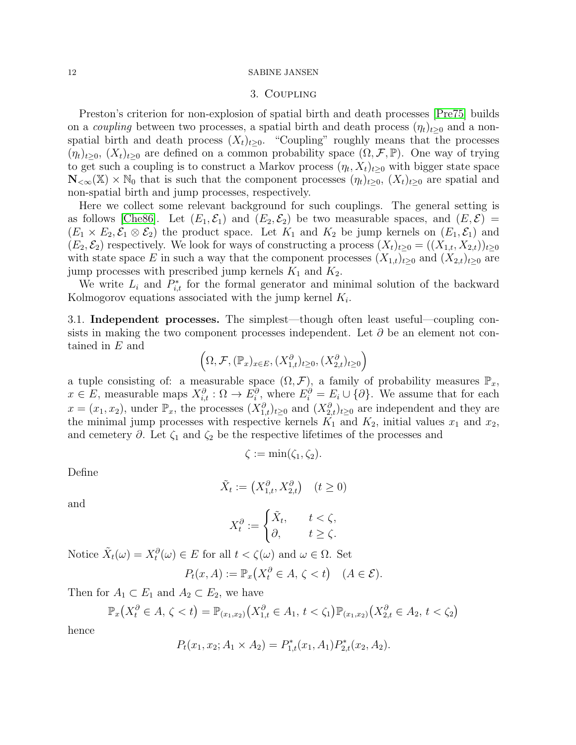#### <span id="page-11-0"></span>12 SABINE JANSEN

### 3. Coupling

Preston's criterion for non-explosion of spatial birth and death processes [\[Pre75\]](#page-20-12) builds on a *coupling* between two processes, a spatial birth and death process  $(\eta_t)_{t>0}$  and a nonspatial birth and death process  $(X_t)_{t>0}$ . "Coupling" roughly means that the processes  $(\eta_t)_{t\geq0}, (X_t)_{t\geq0}$  are defined on a common probability space  $(\Omega, \mathcal{F}, \mathbb{P})$ . One way of trying to get such a coupling is to construct a Markov process  $(\eta_t, X_t)_{t\geq 0}$  with bigger state space  $\mathbb{N}_{<\infty}(\mathbb{X})\times\mathbb{N}_0$  that is such that the component processes  $(\eta_t)_{t\geq0}$ ,  $(X_t)_{t\geq0}$  are spatial and non-spatial birth and jump processes, respectively.

Here we collect some relevant background for such couplings. The general setting is as follows [\[Che86\]](#page-20-13). Let  $(E_1, \mathcal{E}_1)$  and  $(E_2, \mathcal{E}_2)$  be two measurable spaces, and  $(E, \mathcal{E})$  =  $(E_1 \times E_2, \mathcal{E}_1 \otimes \mathcal{E}_2)$  the product space. Let  $K_1$  and  $K_2$  be jump kernels on  $(E_1, \mathcal{E}_1)$  and  $(E_2, \mathcal{E}_2)$  respectively. We look for ways of constructing a process  $(X_t)_{t\geq0} = ((X_{1,t}, X_{2,t}))_{t\geq0}$ with state space E in such a way that the component processes  $(X_{1,t})_{t>0}$  and  $(X_{2,t})_{t>0}$  are jump processes with prescribed jump kernels  $K_1$  and  $K_2$ .

We write  $L_i$  and  $P_{i,t}^*$  for the formal generator and minimal solution of the backward Kolmogorov equations associated with the jump kernel  $K_i$ .

<span id="page-11-1"></span>3.1. Independent processes. The simplest—though often least useful—coupling consists in making the two component processes independent. Let  $\partial$  be an element not contained in E and

$$
(\Omega, \mathcal{F}, (\mathbb{P}_x)_{x \in E}, (X_{1,t}^{\partial})_{t \geq 0}, (X_{2,t}^{\partial})_{t \geq 0})
$$

a tuple consisting of: a measurable space  $(\Omega, \mathcal{F})$ , a family of probability measures  $\mathbb{P}_x$ ,  $x \in E$ , measurable maps  $X_{i,t}^{\partial}$  :  $\Omega \to E_i^{\partial}$ , where  $E_i^{\partial} = E_i \cup \{\partial\}$ . We assume that for each  $x = (x_1, x_2)$ , under  $\mathbb{P}_x$ , the processes  $(X_{1,t}^{\partial})_{t\geq 0}$  and  $(X_{2,t}^{\partial})_{t\geq 0}$  are independent and they are the minimal jump processes with respective kernels  $K_1$  and  $K_2$ , initial values  $x_1$  and  $x_2$ , and cemetery  $\partial$ . Let  $\zeta_1$  and  $\zeta_2$  be the respective lifetimes of the processes and

$$
\zeta := \min(\zeta_1, \zeta_2).
$$

Define

$$
\tilde{X}_t := \left(X_{1,t}^\partial, X_{2,t}^\partial\right) \quad (t \ge 0)
$$

and

$$
X_t^{\partial} := \begin{cases} \tilde{X}_t, & t < \zeta, \\ \partial, & t \ge \zeta. \end{cases}
$$

Notice  $\tilde{X}_t(\omega) = X_t^{\partial}(\omega) \in E$  for all  $t < \zeta(\omega)$  and  $\omega \in \Omega$ . Set

$$
P_t(x, A) := \mathbb{P}_x\big(X_t^{\partial} \in A, \zeta < t\big) \quad (A \in \mathcal{E}).
$$

Then for  $A_1 \subset E_1$  and  $A_2 \subset E_2$ , we have

$$
\mathbb{P}_x\big(X_t^{\partial} \in A, \zeta < t\big) = \mathbb{P}_{(x_1, x_2)}\big(X_{1,t}^{\partial} \in A_1, \, t < \zeta_1\big)\mathbb{P}_{(x_1, x_2)}\big(X_{2,t}^{\partial} \in A_2, \, t < \zeta_2\big)
$$

hence

$$
P_t(x_1, x_2; A_1 \times A_2) = P_{1,t}^*(x_1, A_1) P_{2,t}^*(x_2, A_2).
$$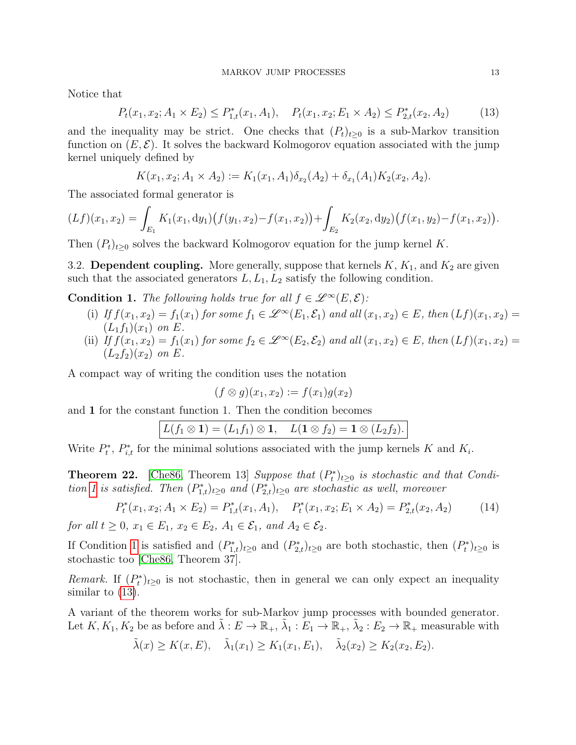Notice that

<span id="page-12-2"></span>
$$
P_t(x_1, x_2; A_1 \times E_2) \le P_{1,t}^*(x_1, A_1), \quad P_t(x_1, x_2; E_1 \times A_2) \le P_{2,t}^*(x_2, A_2)
$$
(13)

and the inequality may be strict. One checks that  $(P_t)_{t\geq0}$  is a sub-Markov transition function on  $(E, \mathcal{E})$ . It solves the backward Kolmogorov equation associated with the jump kernel uniquely defined by

$$
K(x_1, x_2; A_1 \times A_2) := K_1(x_1, A_1) \delta_{x_2}(A_2) + \delta_{x_1}(A_1) K_2(x_2, A_2).
$$

The associated formal generator is

$$
(Lf)(x_1, x_2) = \int_{E_1} K_1(x_1, dy_1) (f(y_1, x_2) - f(x_1, x_2)) + \int_{E_2} K_2(x_2, dy_2) (f(x_1, y_2) - f(x_1, x_2)).
$$

Then  $(P_t)_{t\geq0}$  solves the backward Kolmogorov equation for the jump kernel K.

<span id="page-12-0"></span>3.2. Dependent coupling. More generally, suppose that kernels  $K, K_1$ , and  $K_2$  are given such that the associated generators  $L, L_1, L_2$  satisfy the following condition.

<span id="page-12-1"></span>**Condition 1.** The following holds true for all  $f \in \mathcal{L}^{\infty}(E, \mathcal{E})$ :

- (i) If  $f(x_1, x_2) = f_1(x_1)$  for some  $f_1 \in \mathscr{L}^{\infty}(E_1, \mathcal{E}_1)$  and all  $(x_1, x_2) \in E$ , then  $(Lf)(x_1, x_2) =$  $(L_1f_1)(x_1)$  on E.
- (ii) If  $f(x_1, x_2) = f_1(x_1)$  for some  $f_2 \in \mathcal{L}^{\infty}(E_2, \mathcal{E}_2)$  and all  $(x_1, x_2) \in E$ , then  $(Lf)(x_1, x_2) =$  $(L_2f_2)(x_2)$  on E.

A compact way of writing the condition uses the notation

$$
(f \otimes g)(x_1, x_2) := f(x_1)g(x_2)
$$

and 1 for the constant function 1. Then the condition becomes

$$
L(f_1\otimes \mathbf{1})=(L_1f_1)\otimes \mathbf{1},\quad L(\mathbf{1}\otimes f_2)=\mathbf{1}\otimes (L_2f_2).
$$

Write  $P_t^*$ ,  $P_{i,t}^*$  for the minimal solutions associated with the jump kernels K and  $K_i$ .

<span id="page-12-3"></span>**Theorem 22.** [\[Che86,](#page-20-13) Theorem 13] Suppose that  $(P_t^*)_{t\geq 0}$  is stochastic and that Condi-tion [1](#page-12-1) is satisfied. Then  $(P_{1,t}^*)_{t\geq0}$  and  $(P_{2,t}^*)_{t\geq0}$  are stochastic as well, moreover

$$
P_t^*(x_1, x_2; A_1 \times E_2) = P_{1,t}^*(x_1, A_1), \quad P_t^*(x_1, x_2; E_1 \times A_2) = P_{2,t}^*(x_2, A_2) \tag{14}
$$

for all  $t \geq 0$ ,  $x_1 \in E_1$ ,  $x_2 \in E_2$ ,  $A_1 \in \mathcal{E}_1$ , and  $A_2 \in \mathcal{E}_2$ .

If Condition [1](#page-12-1) is satisfied and  $(P_{1,t}^*)_{t\geq 0}$  and  $(P_{2,t}^*)_{t\geq 0}$  are both stochastic, then  $(P_t^*)_{t\geq 0}$  is stochastic too [\[Che86,](#page-20-13) Theorem 37].

Remark. If  $(P_t^*)_{t\geq0}$  is not stochastic, then in general we can only expect an inequality similar to [\(13\)](#page-12-2).

A variant of the theorem works for sub-Markov jump processes with bounded generator. Let  $K, K_1, K_2$  be as before and  $\tilde{\lambda}: E \to \mathbb{R}_+, \tilde{\lambda}_1: E_1 \to \mathbb{R}_+, \tilde{\lambda}_2: E_2 \to \mathbb{R}_+$  measurable with

$$
\tilde{\lambda}(x) \ge K(x, E), \quad \tilde{\lambda}_1(x_1) \ge K_1(x_1, E_1), \quad \tilde{\lambda}_2(x_2) \ge K_2(x_2, E_2).
$$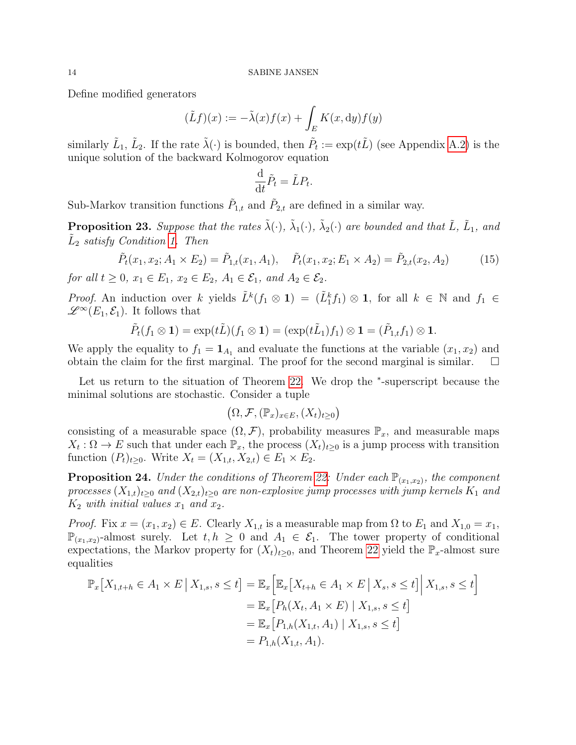Define modified generators

$$
(\tilde{L}f)(x) := -\tilde{\lambda}(x)f(x) + \int_E K(x, \mathrm{d}y)f(y)
$$

similarly  $\tilde{L}_1$ ,  $\tilde{L}_2$ . If the rate  $\tilde{\lambda}(\cdot)$  is bounded, then  $\tilde{P}_t := \exp(t\tilde{L})$  (see Appendix [A.2\)](#page-16-0) is the unique solution of the backward Kolmogorov equation

$$
\frac{\mathrm{d}}{\mathrm{d}t}\tilde{P}_t = \tilde{L}P_t.
$$

Sub-Markov transition functions  $\tilde{P}_{1,t}$  and  $\tilde{P}_{2,t}$  are defined in a similar way.

**Proposition 23.** Suppose that the rates  $\tilde{\lambda}(\cdot)$ ,  $\tilde{\lambda}_1(\cdot)$ ,  $\tilde{\lambda}_2(\cdot)$  are bounded and that  $\tilde{L}$ ,  $\tilde{L}_1$ , and  $\tilde{L}_2$  satisfy Condition [1.](#page-12-1) Then

$$
\tilde{P}_t(x_1, x_2; A_1 \times E_2) = \tilde{P}_{1,t}(x_1, A_1), \quad \tilde{P}_t(x_1, x_2; E_1 \times A_2) = \tilde{P}_{2,t}(x_2, A_2)
$$
(15)

for all  $t \geq 0$ ,  $x_1 \in E_1$ ,  $x_2 \in E_2$ ,  $A_1 \in \mathcal{E}_1$ , and  $A_2 \in \mathcal{E}_2$ .

*Proof.* An induction over k yields  $\tilde{L}^k(f_1 \otimes 1) = (\tilde{L}_1^k f_1) \otimes 1$ , for all  $k \in \mathbb{N}$  and  $f_1 \in$  $\mathscr{L}^{\infty}(E_1,\mathcal{E}_1)$ . It follows that

$$
\tilde{P}_t(f_1\otimes \mathbf{1})=\exp(t\tilde{L})(f_1\otimes \mathbf{1})=(\exp(t\tilde{L}_1)f_1)\otimes \mathbf{1}=(\tilde{P}_{1,t}f_1)\otimes \mathbf{1}.
$$

We apply the equality to  $f_1 = \mathbf{1}_{A_1}$  and evaluate the functions at the variable  $(x_1, x_2)$  and obtain the claim for the first marginal. The proof for the second marginal is similar.  $\square$ 

Let us return to the situation of Theorem [22.](#page-12-3) We drop the <sup>∗</sup> -superscript because the minimal solutions are stochastic. Consider a tuple

$$
\big(\Omega,\mathcal{F},(\mathbb{P}_x)_{x\in E},(X_t)_{t\geq 0}\big)
$$

consisting of a measurable space  $(\Omega, \mathcal{F})$ , probability measures  $\mathbb{P}_x$ , and measurable maps  $X_t: \Omega \to E$  such that under each  $\mathbb{P}_x$ , the process  $(X_t)_{t\geq 0}$  is a jump process with transition function  $(P_t)_{t>0}$ . Write  $X_t = (X_{1,t}, X_{2,t}) \in E_1 \times E_2$ .

**Proposition 24.** Under the conditions of Theorem [22:](#page-12-3) Under each  $\mathbb{P}_{(x_1,x_2)}$ , the component processes  $(X_{1,t})_{t>0}$  and  $(X_{2,t})_{t>0}$  are non-explosive jump processes with jump kernels  $K_1$  and  $K_2$  with initial values  $x_1$  and  $x_2$ .

*Proof.* Fix  $x = (x_1, x_2) \in E$ . Clearly  $X_{1,t}$  is a measurable map from  $\Omega$  to  $E_1$  and  $X_{1,0} = x_1$ ,  $\mathbb{P}_{(x_1,x_2)}$ -almost surely. Let  $t, h \geq 0$  and  $A_1 \in \mathcal{E}_1$ . The tower property of conditional expectations, the Markov property for  $(X_t)_{t\geq0}$ , and Theorem [22](#page-12-3) yield the  $\mathbb{P}_x$ -almost sure equalities

$$
\mathbb{P}_x[X_{1,t+h} \in A_1 \times E | X_{1,s}, s \le t] = \mathbb{E}_x \Big[ \mathbb{E}_x[X_{t+h} \in A_1 \times E | X_s, s \le t] \Big| X_{1,s}, s \le t \Big]
$$
  
\n
$$
= \mathbb{E}_x [P_h(X_t, A_1 \times E) | X_{1,s}, s \le t]
$$
  
\n
$$
= \mathbb{E}_x [P_{1,h}(X_{1,t}, A_1) | X_{1,s}, s \le t]
$$
  
\n
$$
= P_{1,h}(X_{1,t}, A_1).
$$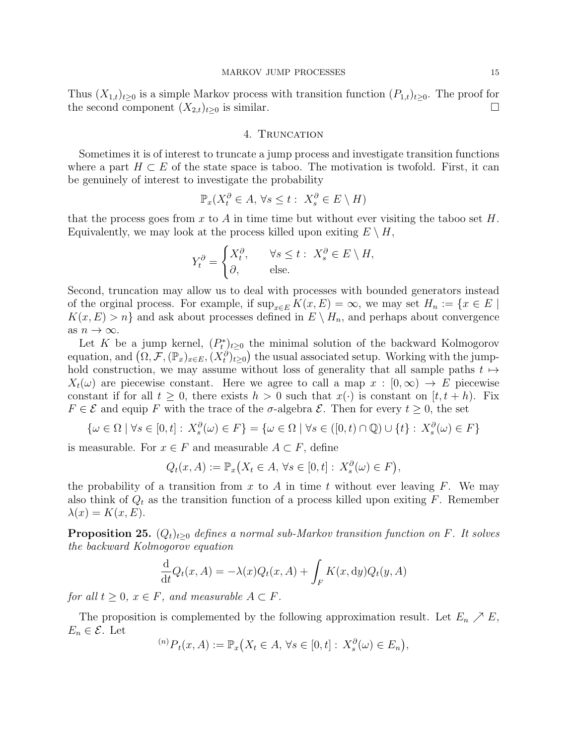Thus  $(X_{1,t})_{t\geq0}$  is a simple Markov process with transition function  $(P_{1,t})_{t\geq0}$ . The proof for the second component  $(X_{2,t})_{t\geq 0}$  is similar.

### 4. TRUNCATION

<span id="page-14-0"></span>Sometimes it is of interest to truncate a jump process and investigate transition functions where a part  $H \subset E$  of the state space is taboo. The motivation is twofold. First, it can be genuinely of interest to investigate the probability

$$
\mathbb{P}_x(X_t^{\partial} \in A, \forall s \le t : X_s^{\partial} \in E \setminus H)
$$

that the process goes from x to A in time time but without ever visiting the taboo set  $H$ . Equivalently, we may look at the process killed upon exiting  $E \setminus H$ ,

$$
Y_t^{\partial} = \begin{cases} X_t^{\partial}, & \forall s \le t : X_s^{\partial} \in E \setminus H, \\ \partial, & \text{else.} \end{cases}
$$

Second, truncation may allow us to deal with processes with bounded generators instead of the orginal process. For example, if  $\sup_{x \in E} K(x, E) = \infty$ , we may set  $H_n := \{x \in E \mid$  $K(x, E) > n$  and ask about processes defined in  $E \setminus H_n$ , and perhaps about convergence as  $n \to \infty$ .

Let K be a jump kernel,  $(P_t^*)_{t\geq 0}$  the minimal solution of the backward Kolmogorov equation, and  $(\Omega, \mathcal{F}, (\mathbb{P}_x)_{x\in E}, (X_t^{\partial})_{t\geq 0})$  the usual associated setup. Working with the jumphold construction, we may assume without loss of generality that all sample paths  $t \mapsto$  $X_t(\omega)$  are piecewise constant. Here we agree to call a map  $x : [0,\infty) \to E$  piecewise constant if for all  $t \geq 0$ , there exists  $h > 0$  such that  $x(\cdot)$  is constant on  $[t, t + h)$ . Fix  $F \in \mathcal{E}$  and equip F with the trace of the  $\sigma$ -algebra  $\mathcal{E}$ . Then for every  $t \geq 0$ , the set

$$
\{\omega \in \Omega \mid \forall s \in [0, t] : X_s^{\partial}(\omega) \in F\} = \{\omega \in \Omega \mid \forall s \in ([0, t) \cap \mathbb{Q}) \cup \{t\} : X_s^{\partial}(\omega) \in F\}
$$

is measurable. For  $x \in F$  and measurable  $A \subset F$ , define

$$
Q_t(x, A) := \mathbb{P}_x(X_t \in A, \forall s \in [0, t] : X_s^{\partial}(\omega) \in F),
$$

the probability of a transition from x to A in time t without ever leaving  $F$ . We may also think of  $Q_t$  as the transition function of a process killed upon exiting F. Remember  $\lambda(x) = K(x, E).$ 

**Proposition 25.**  $(Q_t)_{t\geq0}$  defines a normal sub-Markov transition function on F. It solves the backward Kolmogorov equation

$$
\frac{\mathrm{d}}{\mathrm{d}t}Q_t(x,A) = -\lambda(x)Q_t(x,A) + \int_F K(x,\mathrm{d}y)Q_t(y,A)
$$

for all  $t \geq 0$ ,  $x \in F$ , and measurable  $A \subset F$ .

The proposition is complemented by the following approximation result. Let  $E_n \nearrow E$ ,  $E_n \in \mathcal{E}$ . Let

 $({}^{(n)}P_t(x,A) := \mathbb{P}_x(X_t \in A, \forall s \in [0,t] : X_s^{\partial}(\omega) \in E_n),$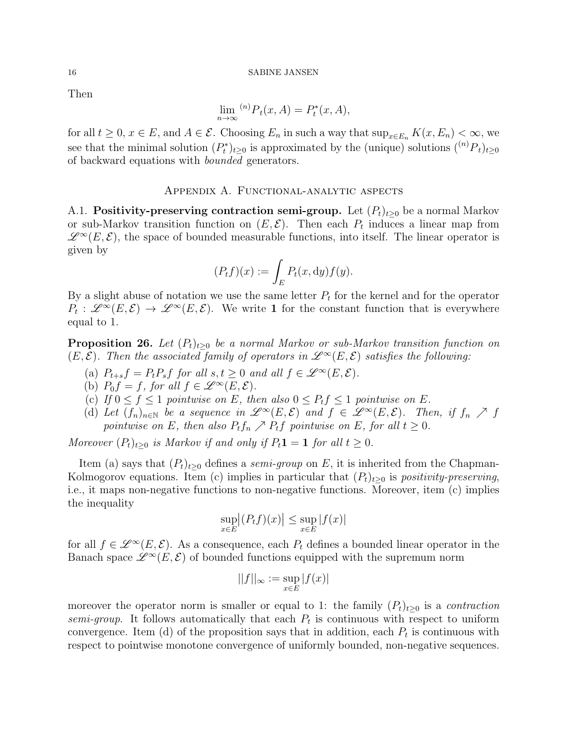Then

$$
\lim_{n \to \infty} {}^{(n)}P_t(x, A) = P_t^*(x, A),
$$

for all  $t \geq 0$ ,  $x \in E$ , and  $A \in \mathcal{E}$ . Choosing  $E_n$  in such a way that  $\sup_{x \in E_n} K(x, E_n) < \infty$ , we see that the minimal solution  $(P_t^*)_{t\geq 0}$  is approximated by the (unique) solutions  $({}^{(n)}P_t)_{t\geq 0}$ of backward equations with bounded generators.

### Appendix A. Functional-analytic aspects

<span id="page-15-1"></span><span id="page-15-0"></span>A.1. **Positivity-preserving contraction semi-group.** Let  $(P_t)_{t\geq0}$  be a normal Markov or sub-Markov transition function on  $(E, \mathcal{E})$ . Then each  $P_t$  induces a linear map from  $\mathscr{L}^{\infty}(E,\mathcal{E})$ , the space of bounded measurable functions, into itself. The linear operator is given by

$$
(P_t f)(x) := \int_E P_t(x, dy) f(y).
$$

By a slight abuse of notation we use the same letter  $P_t$  for the kernel and for the operator  $P_t: \mathscr{L}^\infty(E,\mathcal{E}) \to \mathscr{L}^\infty(E,\mathcal{E})$ . We write 1 for the constant function that is everywhere equal to 1.

<span id="page-15-2"></span>**Proposition 26.** Let  $(P_t)_{t>0}$  be a normal Markov or sub-Markov transition function on  $(E, \mathcal{E})$ . Then the associated family of operators in  $\mathscr{L}^{\infty}(E, \mathcal{E})$  satisfies the following:

- (a)  $P_{t+s}f = P_tP_s f$  for all  $s,t \geq 0$  and all  $f \in \mathscr{L}^{\infty}(E,\mathcal{E})$ .
- (b)  $P_0 f = f$ , for all  $f \in \mathscr{L}^{\infty}(E, \mathcal{E})$ .
- (c) If  $0 \le f \le 1$  pointwise on E, then also  $0 \le P_t f \le 1$  pointwise on E.
- (d) Let  $(f_n)_{n\in\mathbb{N}}$  be a sequence in  $\mathscr{L}^{\infty}(E,\mathcal{E})$  and  $f \in \mathscr{L}^{\infty}(E,\mathcal{E})$ . Then, if  $f_n \nearrow f$ pointwise on E, then also  $P_t f_n \nearrow P_t f$  pointwise on E, for all  $t \geq 0$ .

Moreover  $(P_t)_{t>0}$  is Markov if and only if  $P_t \mathbf{1} = \mathbf{1}$  for all  $t \geq 0$ .

Item (a) says that  $(P_t)_{t>0}$  defines a *semi-group* on E, it is inherited from the Chapman-Kolmogorov equations. Item (c) implies in particular that  $(P_t)_{t\geq0}$  is positivity-preserving, i.e., it maps non-negative functions to non-negative functions. Moreover, item (c) implies the inequality

$$
\sup_{x \in E} |(P_t f)(x)| \le \sup_{x \in E} |f(x)|
$$

for all  $f \in \mathscr{L}^{\infty}(E, \mathcal{E})$ . As a consequence, each  $P_t$  defines a bounded linear operator in the Banach space  $\mathscr{L}^{\infty}(E,\mathcal{E})$  of bounded functions equipped with the supremum norm

$$
||f||_{\infty} := \sup_{x \in E} |f(x)|
$$

moreover the operator norm is smaller or equal to 1: the family  $(P_t)_{t>0}$  is a *contraction* semi-group. It follows automatically that each  $P_t$  is continuous with respect to uniform convergence. Item (d) of the proposition says that in addition, each  $P_t$  is continuous with respect to pointwise monotone convergence of uniformly bounded, non-negative sequences.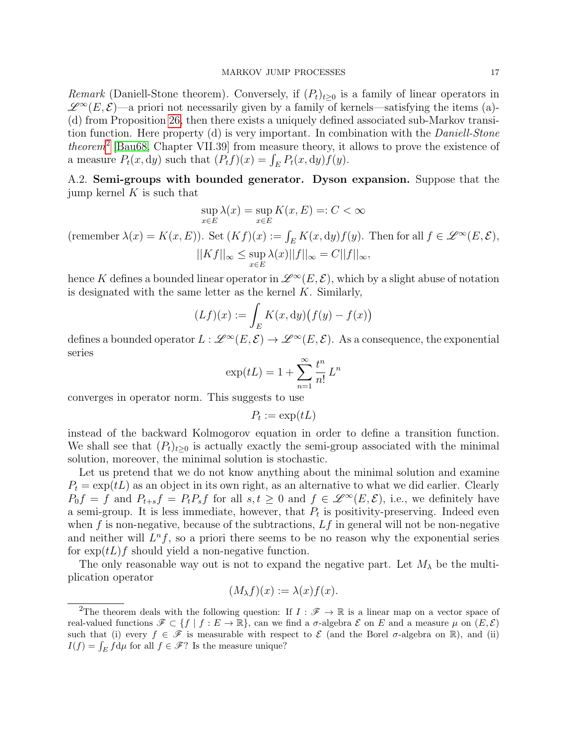Remark (Daniell-Stone theorem). Conversely, if  $(P_t)_{t\geq0}$  is a family of linear operators in  $\mathscr{L}^{\infty}(E,\mathcal{E})$ —a priori not necessarily given by a family of kernels—satisfying the items (a)-(d) from Proposition [26,](#page-15-2) then there exists a uniquely defined associated sub-Markov transition function. Here property (d) is very important. In combination with the Daniell-Stone *theorem*<sup>[2](#page-16-1)</sup> [\[Bau68,](#page-20-14) Chapter VII.39] from measure theory, it allows to prove the existence of a measure  $P_t(x, dy)$  such that  $(P_t f)(x) = \int_E P_t(x, dy) f(y)$ .

<span id="page-16-0"></span>A.2. Semi-groups with bounded generator. Dyson expansion. Suppose that the jump kernel  $K$  is such that

$$
\sup_{x \in E} \lambda(x) = \sup_{x \in E} K(x, E) =: C < \infty
$$

(remember  $\lambda(x) = K(x, E)$ ). Set  $(Kf)(x) := \int_E K(x, dy) f(y)$ . Then for all  $f \in \mathscr{L}^{\infty}(E, \mathcal{E})$ ,  $||Kf||_{\infty} \leq \sup$ x∈E  $\lambda(x)||f||_{\infty} = C||f||_{\infty},$ 

hence K defines a bounded linear operator in  $\mathscr{L}^{\infty}(E,\mathcal{E})$ , which by a slight abuse of notation is designated with the same letter as the kernel  $K$ . Similarly,

$$
(Lf)(x) := \int_{E} K(x, dy) \big( f(y) - f(x) \big)
$$

defines a bounded operator  $L : \mathscr{L}^\infty(E, \mathcal{E}) \to \mathscr{L}^\infty(E, \mathcal{E})$ . As a consequence, the exponential series

$$
\exp(tL) = 1 + \sum_{n=1}^{\infty} \frac{t^n}{n!} L^n
$$

converges in operator norm. This suggests to use

$$
P_t := \exp(tL)
$$

instead of the backward Kolmogorov equation in order to define a transition function. We shall see that  $(P_t)_{t\geq0}$  is actually exactly the semi-group associated with the minimal solution, moreover, the minimal solution is stochastic.

Let us pretend that we do not know anything about the minimal solution and examine  $P_t = \exp(tL)$  as an object in its own right, as an alternative to what we did earlier. Clearly  $P_0f = f$  and  $P_{t+s}f = P_tP_sf$  for all  $s, t \geq 0$  and  $f \in \mathscr{L}^{\infty}(E, \mathcal{E})$ , i.e., we definitely have a semi-group. It is less immediate, however, that  $P_t$  is positivity-preserving. Indeed even when f is non-negative, because of the subtractions,  $Lf$  in general will not be non-negative and neither will  $L^n f$ , so a priori there seems to be no reason why the exponential series for  $\exp(tL)f$  should yield a non-negative function.

The only reasonable way out is not to expand the negative part. Let  $M_{\lambda}$  be the multiplication operator

$$
(M_{\lambda}f)(x) := \lambda(x)f(x).
$$

<span id="page-16-1"></span><sup>&</sup>lt;sup>2</sup>The theorem deals with the following question: If  $I : \mathscr{F} \to \mathbb{R}$  is a linear map on a vector space of real-valued functions  $\mathscr{F} \subset \{f \mid f : E \to \mathbb{R}\}$ , can we find a  $\sigma$ -algebra  $\mathscr{E}$  on E and a measure  $\mu$  on  $(E, \mathscr{E})$ such that (i) every  $f \in \mathscr{F}$  is measurable with respect to  $\mathscr E$  (and the Borel  $\sigma$ -algebra on R), and (ii)  $I(f) = \int_E f d\mu$  for all  $f \in \mathcal{F}$ ? Is the measure unique?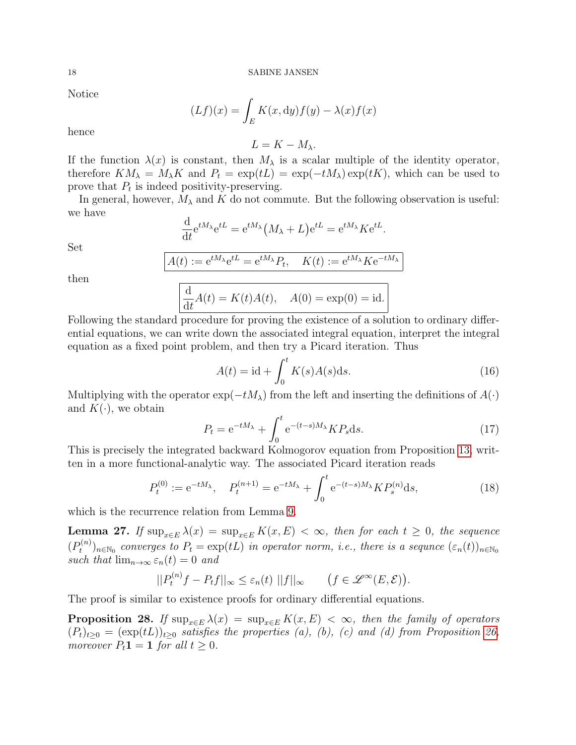Notice

$$
(Lf)(x) = \int_{E} K(x, dy) f(y) - \lambda(x) f(x)
$$

hence

 $L = K - M_{\lambda}$ .

If the function  $\lambda(x)$  is constant, then  $M_{\lambda}$  is a scalar multiple of the identity operator, therefore  $KM_{\lambda} = M_{\lambda}K$  and  $P_t = \exp(tL) = \exp(-tM_{\lambda}) \exp(tK)$ , which can be used to prove that  $P_t$  is indeed positivity-preserving.

In general, however,  $M_{\lambda}$  and K do not commute. But the following observation is useful: we have

$$
\frac{\mathrm{d}}{\mathrm{d}t}e^{tM_{\lambda}}e^{tL} = e^{tM_{\lambda}}(M_{\lambda} + L)e^{tL} = e^{tM_{\lambda}}Ke^{tL}.
$$

Set

$$
A(t) := e^{tM_{\lambda}}e^{tL} = e^{tM_{\lambda}}P_t, \quad K(t) := e^{tM_{\lambda}}Ke^{-tM_{\lambda}}
$$

then

$$
\frac{\mathrm{d}}{\mathrm{d}t}A(t) = K(t)A(t), \quad A(0) = \exp(0) = \mathrm{id}.
$$

Following the standard procedure for proving the existence of a solution to ordinary differential equations, we can write down the associated integral equation, interpret the integral equation as a fixed point problem, and then try a Picard iteration. Thus

<span id="page-17-1"></span>
$$
A(t) = \mathrm{id} + \int_0^t K(s)A(s)ds.
$$
 (16)

Multiplying with the operator  $\exp(-tM_\lambda)$  from the left and inserting the definitions of  $A(\cdot)$ and  $K(\cdot)$ , we obtain

$$
P_t = e^{-tM_\lambda} + \int_0^t e^{-(t-s)M_\lambda} K P_s \mathrm{d}s. \tag{17}
$$

This is precisely the integrated backward Kolmogorov equation from Proposition [13,](#page-7-4) written in a more functional-analytic way. The associated Picard iteration reads

$$
P_t^{(0)} := e^{-tM_\lambda}, \quad P_t^{(n+1)} = e^{-tM_\lambda} + \int_0^t e^{-(t-s)M_\lambda} K P_s^{(n)} ds,
$$
\n(18)

which is the recurrence relation from Lemma [9.](#page-6-2)

<span id="page-17-0"></span>**Lemma 27.** If  $\sup_{x \in E} \lambda(x) = \sup_{x \in E} K(x, E) < \infty$ , then for each  $t \geq 0$ , the sequence  $(P_t^{(n)}$  $(t^{(n)}_t)_{n\in\mathbb{N}_0}$  converges to  $P_t = \exp(tL)$  in operator norm, i.e., there is a sequnce  $(\varepsilon_n(t))_{n\in\mathbb{N}_0}$ such that  $\lim_{n\to\infty} \varepsilon_n(t) = 0$  and

$$
||P_t^{(n)}f - P_tf||_{\infty} \leq \varepsilon_n(t) ||f||_{\infty} \qquad \big(f \in \mathscr{L}^{\infty}(E, \mathcal{E})\big).
$$

The proof is similar to existence proofs for ordinary differential equations.

**Proposition 28.** If  $\sup_{x \in E} \lambda(x) = \sup_{x \in E} K(x, E) < \infty$ , then the family of operators  $(P_t)_{t\geq0} = (\exp(tL))_{t\geq0}$  satisfies the properties (a), (b), (c) and (d) from Proposition [26,](#page-15-2) moreover  $P_t \mathbf{1} = \mathbf{1}$  for all  $t \geq 0$ .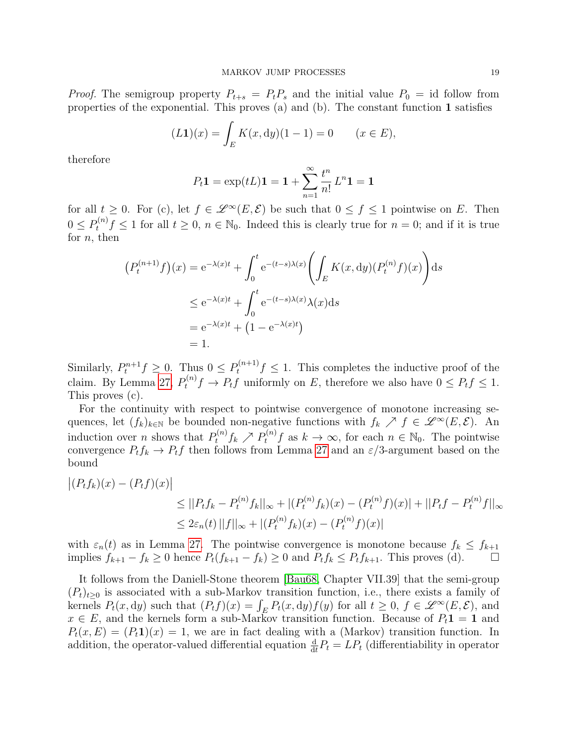*Proof.* The semigroup property  $P_{t+s} = P_t P_s$  and the initial value  $P_0 = id$  follow from properties of the exponential. This proves (a) and (b). The constant function 1 satisfies

$$
(L1)(x) = \int_{E} K(x, dy)(1 - 1) = 0 \qquad (x \in E),
$$

therefore

$$
P_t \mathbf{1} = \exp(tL)\mathbf{1} = \mathbf{1} + \sum_{n=1}^{\infty} \frac{t^n}{n!} L^n \mathbf{1} = \mathbf{1}
$$

for all  $t \geq 0$ . For (c), let  $f \in \mathcal{L}^{\infty}(E, \mathcal{E})$  be such that  $0 \leq f \leq 1$  pointwise on E. Then  $0 \le P_t^{(n)} f \le 1$  for all  $t \ge 0$ ,  $n \in \mathbb{N}_0$ . Indeed this is clearly true for  $n = 0$ ; and if it is true for  $n$ , then

$$
(P_t^{(n+1)}f)(x) = e^{-\lambda(x)t} + \int_0^t e^{-(t-s)\lambda(x)} \left( \int_E K(x, dy) (P_t^{(n)} f)(x) \right) ds
$$
  
\n
$$
\leq e^{-\lambda(x)t} + \int_0^t e^{-(t-s)\lambda(x)} \lambda(x) ds
$$
  
\n
$$
= e^{-\lambda(x)t} + (1 - e^{-\lambda(x)t})
$$
  
\n
$$
= 1.
$$

Similarly,  $P_t^{n+1} f \geq 0$ . Thus  $0 \leq P_t^{(n+1)} f \leq 1$ . This completes the inductive proof of the claim. By Lemma [27,](#page-17-0)  $P_t^{(n)}f \to P_tf$  uniformly on E, therefore we also have  $0 \le P_tf \le 1$ . This proves (c).

For the continuity with respect to pointwise convergence of monotone increasing sequences, let  $(f_k)_{k\in\mathbb{N}}$  be bounded non-negative functions with  $f_k \nearrow f \in \mathscr{L}^\infty(E,\mathcal{E})$ . An induction over *n* shows that  $P_t^{(n)} f_k \nearrow P_t^{(n)} f$  as  $k \to \infty$ , for each  $n \in \mathbb{N}_0$ . The pointwise convergence  $P_t f_k \to P_t f$  then follows from Lemma [27](#page-17-0) and an  $\varepsilon/3$ -argument based on the bound

$$
\begin{aligned} \left| (P_t f_k)(x) - (P_t f)(x) \right| \\ &\leq ||P_t f_k - P_t^{(n)} f_k||_{\infty} + |(P_t^{(n)} f_k)(x) - (P_t^{(n)} f)(x)| + ||P_t f - P_t^{(n)} f||_{\infty} \\ &\leq 2\varepsilon_n(t) \, ||f||_{\infty} + |(P_t^{(n)} f_k)(x) - (P_t^{(n)} f)(x)| \end{aligned}
$$

with  $\varepsilon_n(t)$  as in Lemma [27.](#page-17-0) The pointwise convergence is monotone because  $f_k \leq f_{k+1}$ implies  $f_{k+1} - f_k \ge 0$  hence  $P_t(f_{k+1} - f_k) \ge 0$  and  $P_t f_k \le P_t f_{k+1}$ . This proves (d). □

It follows from the Daniell-Stone theorem [\[Bau68,](#page-20-14) Chapter VII.39] that the semi-group  $(P_t)_{t\geq0}$  is associated with a sub-Markov transition function, i.e., there exists a family of kernels  $P_t(x, dy)$  such that  $(P_t f)(x) = \int_E P_t(x, dy) f(y)$  for all  $t \geq 0$ ,  $f \in \mathscr{L}^{\infty}(E, \mathcal{E})$ , and  $x \in E$ , and the kernels form a sub-Markov transition function. Because of  $P_t \mathbf{1} = \mathbf{1}$  and  $P_t(x, E) = (P_t \mathbf{1})(x) = 1$ , we are in fact dealing with a (Markov) transition function. In addition, the operator-valued differential equation  $\frac{d}{dt}P_t = LP_t$  (differentiability in operator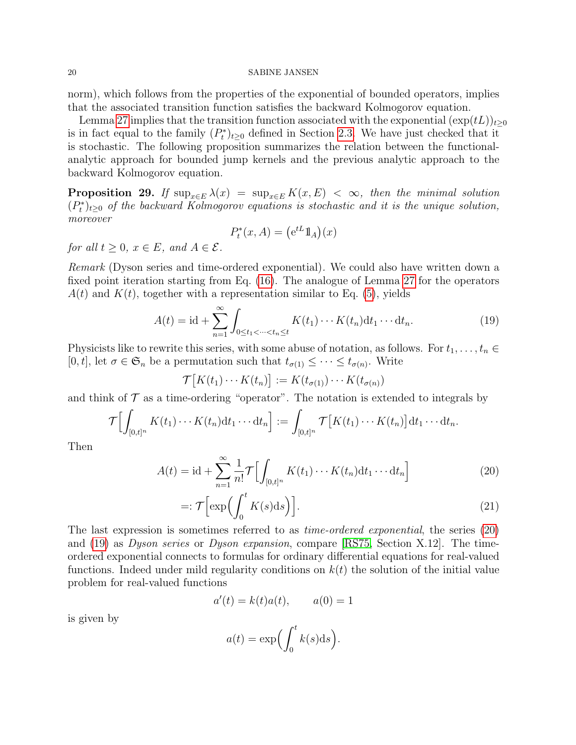#### 20 SABINE JANSEN

norm), which follows from the properties of the exponential of bounded operators, implies that the associated transition function satisfies the backward Kolmogorov equation.

Lemma [27](#page-17-0) implies that the transition function associated with the exponential  $(\exp(tL))_{t>0}$ is in fact equal to the family  $(P_t^*)_{t\geq 0}$  defined in Section [2.3.](#page-5-0) We have just checked that it is stochastic. The following proposition summarizes the relation between the functionalanalytic approach for bounded jump kernels and the previous analytic approach to the backward Kolmogorov equation.

**Proposition 29.** If  $\sup_{x \in E} \lambda(x) = \sup_{x \in E} K(x, E) < \infty$ , then the minimal solution  $(P_t^*)_{t\geq0}$  of the backward Kolmogorov equations is stochastic and it is the unique solution, moreover

$$
P_t^*(x, A) = (e^{tL} 1\!\!1_A)(x)
$$

for all  $t \geq 0$ ,  $x \in E$ , and  $A \in \mathcal{E}$ .

Remark (Dyson series and time-ordered exponential). We could also have written down a fixed point iteration starting from Eq. [\(16\)](#page-17-1). The analogue of Lemma [27](#page-17-0) for the operators  $A(t)$  and  $K(t)$ , together with a representation similar to Eq. [\(5\)](#page-6-0), yields

<span id="page-19-1"></span>
$$
A(t) = \mathrm{id} + \sum_{n=1}^{\infty} \int_{0 \le t_1 < \dots < t_n \le t} K(t_1) \dotsm K(t_n) \mathrm{d}t_1 \dotsm \mathrm{d}t_n. \tag{19}
$$

Physicists like to rewrite this series, with some abuse of notation, as follows. For  $t_1, \ldots, t_n \in$ [0, t], let  $\sigma \in \mathfrak{S}_n$  be a permutation such that  $t_{\sigma(1)} \leq \cdots \leq t_{\sigma(n)}$ . Write

 $\mathcal{T}[K(t_1)\cdots K(t_n)] := K(t_{\sigma(1)})\cdots K(t_{\sigma(n)})$ 

and think of  $\mathcal T$  as a time-ordering "operator". The notation is extended to integrals by

$$
\mathcal{T}\Bigl[\int_{[0,t]^n}K(t_1)\cdots K(t_n)\mathrm{d} t_1\cdots \mathrm{d} t_n\Bigr]:=\int_{[0,t]^n}\mathcal{T}\bigl[K(t_1)\cdots K(t_n)\bigr]\mathrm{d} t_1\cdots \mathrm{d} t_n.
$$

Then

$$
A(t) = \mathrm{id} + \sum_{n=1}^{\infty} \frac{1}{n!} \mathcal{T} \Big[ \int_{[0,t]^n} K(t_1) \cdots K(t_n) \mathrm{d}t_1 \cdots \mathrm{d}t_n \Big]
$$
(20)

$$
=:\mathcal{T}\Bigl[\exp\Bigl(\int_0^t K(s)ds\Bigr)\Bigr].\hspace{1.5cm}(21)
$$

The last expression is sometimes referred to as time-ordered exponential, the series [\(20\)](#page-19-0) and [\(19\)](#page-19-1) as Dyson series or Dyson expansion, compare [\[RS75,](#page-20-15) Section X.12]. The timeordered exponential connects to formulas for ordinary differential equations for real-valued functions. Indeed under mild regularity conditions on  $k(t)$  the solution of the initial value problem for real-valued functions

<span id="page-19-0"></span>
$$
a'(t) = k(t)a(t), \qquad a(0) = 1
$$

is given by

<span id="page-19-2"></span>
$$
a(t) = \exp\left(\int_0^t k(s) \mathrm{d}s\right).
$$